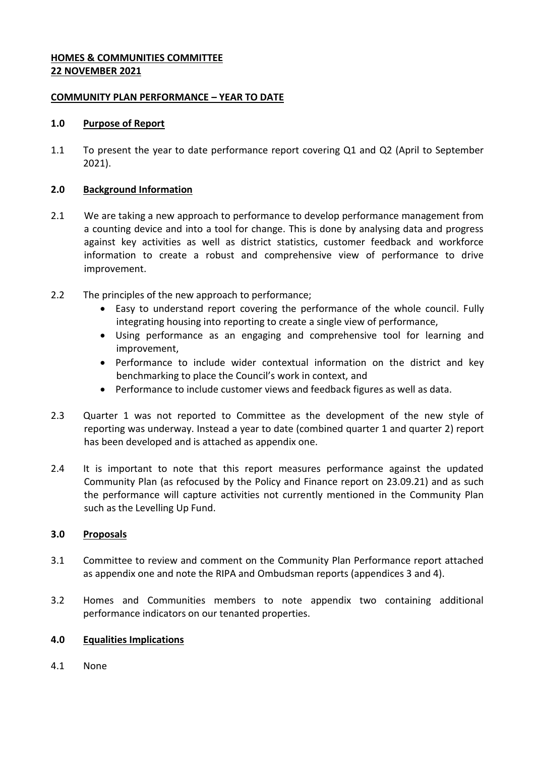## **HOMES & COMMUNITIES COMMITTEE 22 NOVEMBER 2021**

### **COMMUNITY PLAN PERFORMANCE – YEAR TO DATE**

### **1.0 Purpose of Report**

1.1 To present the year to date performance report covering Q1 and Q2 (April to September 2021).

## **2.0 Background Information**

- 2.1 We are taking a new approach to performance to develop performance management from a counting device and into a tool for change. This is done by analysing data and progress against key activities as well as district statistics, customer feedback and workforce information to create a robust and comprehensive view of performance to drive improvement.
- 2.2 The principles of the new approach to performance;
	- Easy to understand report covering the performance of the whole council. Fully integrating housing into reporting to create a single view of performance,
	- Using performance as an engaging and comprehensive tool for learning and improvement,
	- Performance to include wider contextual information on the district and key benchmarking to place the Council's work in context, and
	- Performance to include customer views and feedback figures as well as data.
- 2.3 Quarter 1 was not reported to Committee as the development of the new style of reporting was underway. Instead a year to date (combined quarter 1 and quarter 2) report has been developed and is attached as appendix one.
- 2.4 It is important to note that this report measures performance against the updated Community Plan (as refocused by the Policy and Finance report on 23.09.21) and as such the performance will capture activities not currently mentioned in the Community Plan such as the Levelling Up Fund.

# **3.0 Proposals**

- 3.1 Committee to review and comment on the Community Plan Performance report attached as appendix one and note the RIPA and Ombudsman reports (appendices 3 and 4).
- 3.2 Homes and Communities members to note appendix two containing additional performance indicators on our tenanted properties.

# **4.0 Equalities Implications**

4.1 None